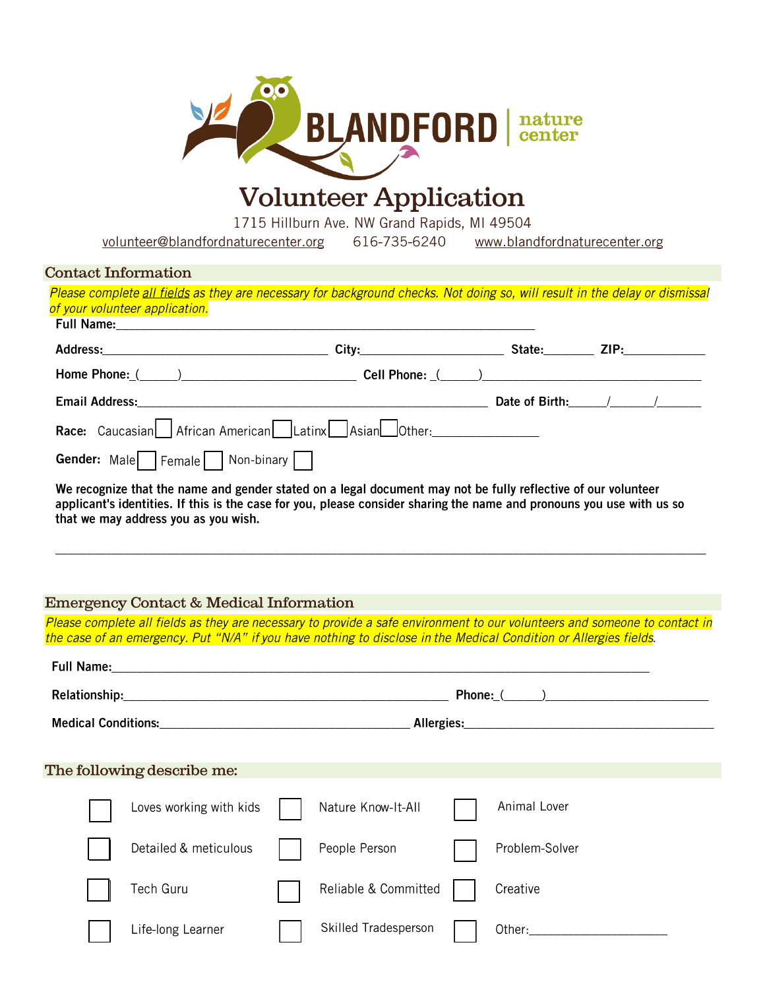

# **Volunteer Application**

1715 Hillburn Ave. NW Grand Rapids, MI 49504

volunteer@blandfordnaturecenter.org 616-735-6240 www.blandfordnaturecenter.org

| <b>Contact Information</b>                                                                                                                                                                                                                                                     |                                                                                                                                                                                                                                                 |  |                      |  |                |  |
|--------------------------------------------------------------------------------------------------------------------------------------------------------------------------------------------------------------------------------------------------------------------------------|-------------------------------------------------------------------------------------------------------------------------------------------------------------------------------------------------------------------------------------------------|--|----------------------|--|----------------|--|
|                                                                                                                                                                                                                                                                                | Please complete all fields as they are necessary for background checks. Not doing so, will result in the delay or dismissal<br>of your volunteer application.                                                                                   |  |                      |  |                |  |
|                                                                                                                                                                                                                                                                                |                                                                                                                                                                                                                                                 |  |                      |  |                |  |
|                                                                                                                                                                                                                                                                                |                                                                                                                                                                                                                                                 |  |                      |  |                |  |
|                                                                                                                                                                                                                                                                                | Home Phone: (Changeletter and Cell Phone: (Changeletter and Cell Phone: (Changeletter and Cell Phone: (Changeletter and Cell Phone: (Changeletter and Cell Phone: (Changeletter and Cell Phone: Changeletter and Cell Phone: C                  |  |                      |  |                |  |
|                                                                                                                                                                                                                                                                                |                                                                                                                                                                                                                                                 |  |                      |  |                |  |
|                                                                                                                                                                                                                                                                                | Race: Caucasian African American Latinx Asian Other:                                                                                                                                                                                            |  |                      |  |                |  |
|                                                                                                                                                                                                                                                                                | Gender: Male   Female   Non-binary                                                                                                                                                                                                              |  |                      |  |                |  |
| We recognize that the name and gender stated on a legal document may not be fully reflective of our volunteer<br>applicant's identities. If this is the case for you, please consider sharing the name and pronouns you use with us so<br>that we may address you as you wish. |                                                                                                                                                                                                                                                 |  |                      |  |                |  |
|                                                                                                                                                                                                                                                                                | <b>Emergency Contact &amp; Medical Information</b>                                                                                                                                                                                              |  |                      |  |                |  |
|                                                                                                                                                                                                                                                                                | Please complete all fields as they are necessary to provide a safe environment to our volunteers and someone to contact in<br>the case of an emergency. Put "N/A" if you have nothing to disclose in the Medical Condition or Allergies fields. |  |                      |  |                |  |
|                                                                                                                                                                                                                                                                                |                                                                                                                                                                                                                                                 |  |                      |  |                |  |
|                                                                                                                                                                                                                                                                                |                                                                                                                                                                                                                                                 |  |                      |  |                |  |
|                                                                                                                                                                                                                                                                                |                                                                                                                                                                                                                                                 |  |                      |  |                |  |
|                                                                                                                                                                                                                                                                                |                                                                                                                                                                                                                                                 |  |                      |  |                |  |
|                                                                                                                                                                                                                                                                                | The following describe me:                                                                                                                                                                                                                      |  |                      |  |                |  |
|                                                                                                                                                                                                                                                                                | Loves working with kids                                                                                                                                                                                                                         |  | Nature Know-It-All   |  | Animal Lover   |  |
|                                                                                                                                                                                                                                                                                | Detailed & meticulous                                                                                                                                                                                                                           |  | People Person        |  | Problem-Solver |  |
|                                                                                                                                                                                                                                                                                | <b>Tech Guru</b>                                                                                                                                                                                                                                |  | Reliable & Committed |  | Creative       |  |

Skilled Tradesperson

Other:

Life-long Learner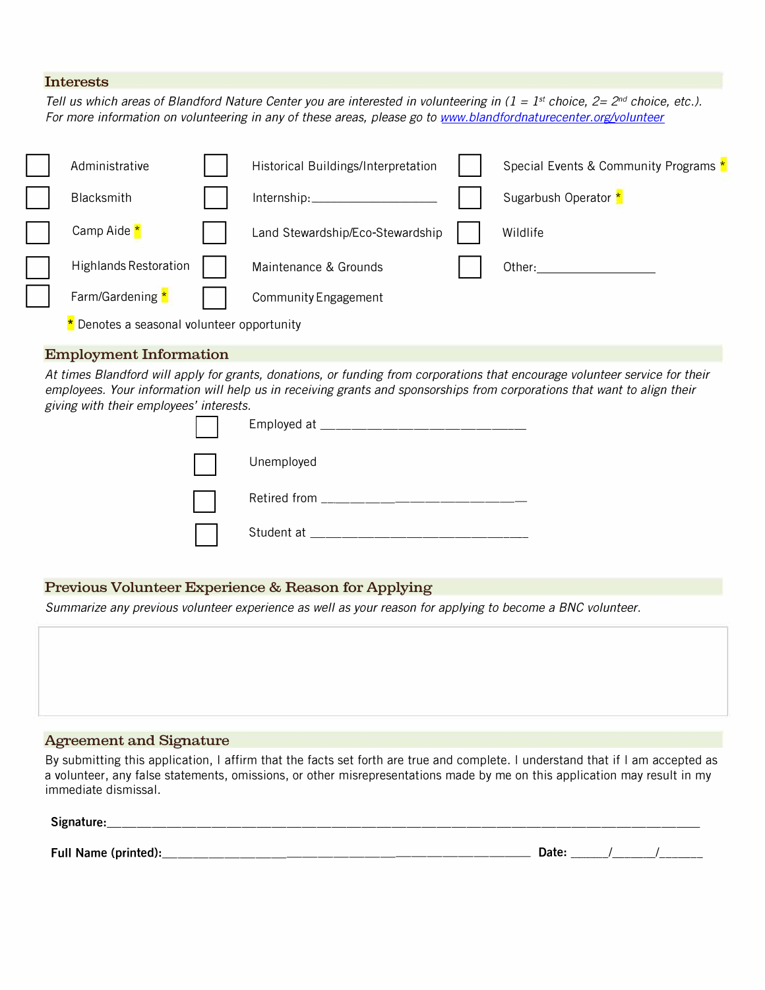### **Interests**

*Tell us which areas of Blandford Nature Center you are interested in volunteering in (1 = 1<sup>st</sup> choice, 2= 2<sup>nd</sup> choice, etc.). For more information on volunteering in any of these areas, please go to www.blandfordnaturecenter.org/volunteer* 

| Administrative                           |  | Historical Buildings/Interpretation |  | Special Events & Community Programs * |
|------------------------------------------|--|-------------------------------------|--|---------------------------------------|
| <b>Blacksmith</b>                        |  | Internship:                         |  | Sugarbush Operator *                  |
| Camp Aide *                              |  | Land Stewardship/Eco-Stewardship    |  | Wildlife                              |
| <b>Highlands Restoration</b>             |  | Maintenance & Grounds               |  | Other:                                |
| Farm/Gardening *                         |  | Community Engagement                |  |                                       |
| Denotes a seasonal volunteer opportunity |  |                                     |  |                                       |

#### **Employment Information**

*At times Blandford will apply for grants, donations, or funding from corporations that encourage volunteer service for their employees. Your information will help us in receiving grants and sponsorships from corporations that want to align their giving with their employees' interests.* 

| Employed at ______________________ |
|------------------------------------|
| Unemployed                         |
| Retired from ___________           |
| Student at                         |

## **Previous Volunteer Experience & Reason for Applying**

*Summarize any previous volunteer experience as well as your reason for applying to become a BNC volunteer.* 

### **Agreement and Signature**

By submitting this application, I affirm that the facts set forth are true and complete. I understand that if I am accepted as a volunteer, any false statements, omissions, or other misrepresentations made by me on this application may result in my immediate dismissal.

| Signature: |  |
|------------|--|
|            |  |

Full Name (printed):

| Date: . |  |  |  |
|---------|--|--|--|
|---------|--|--|--|